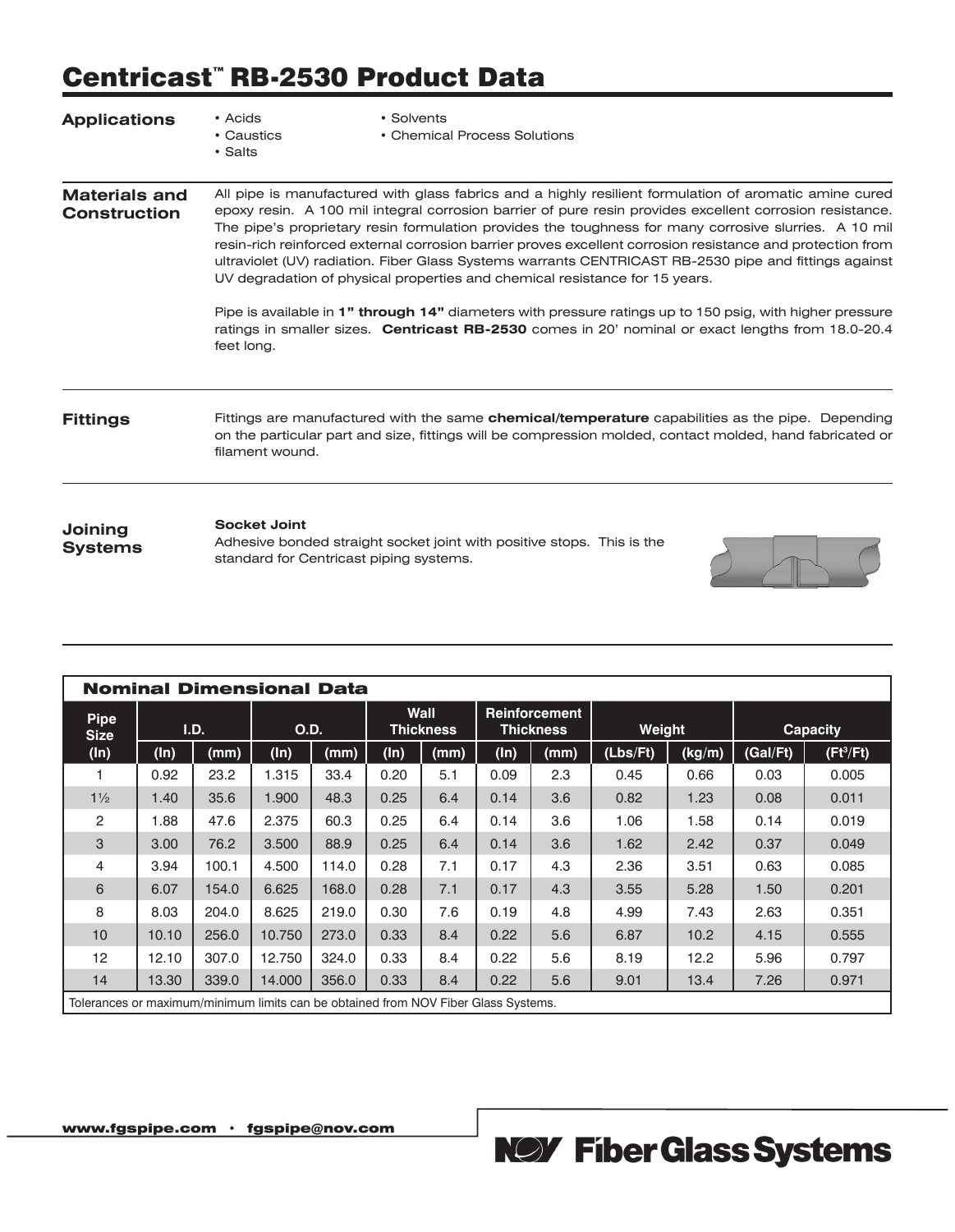# Centricast™ RB-2530 Product Data

| <b>Applications</b>                         | • Acids<br>• Caustics<br>• Salts | • Solvents<br>• Chemical Process Solutions                                                                                                                                                                                                                                                                                                                                                                                                                                                                                                                                                                                                                                                                                                                                                                                                         |  |
|---------------------------------------------|----------------------------------|----------------------------------------------------------------------------------------------------------------------------------------------------------------------------------------------------------------------------------------------------------------------------------------------------------------------------------------------------------------------------------------------------------------------------------------------------------------------------------------------------------------------------------------------------------------------------------------------------------------------------------------------------------------------------------------------------------------------------------------------------------------------------------------------------------------------------------------------------|--|
| <b>Materials and</b><br><b>Construction</b> | feet long.                       | All pipe is manufactured with glass fabrics and a highly resilient formulation of aromatic amine cured<br>epoxy resin. A 100 mil integral corrosion barrier of pure resin provides excellent corrosion resistance.<br>The pipe's proprietary resin formulation provides the toughness for many corrosive slurries. A 10 mil<br>resin-rich reinforced external corrosion barrier proves excellent corrosion resistance and protection from<br>ultraviolet (UV) radiation. Fiber Glass Systems warrants CENTRICAST RB-2530 pipe and fittings against<br>UV degradation of physical properties and chemical resistance for 15 years.<br>Pipe is available in 1" through 14" diameters with pressure ratings up to 150 psig, with higher pressure<br>ratings in smaller sizes. Centricast RB-2530 comes in 20' nominal or exact lengths from 18.0-20.4 |  |
| <b>Fittings</b>                             | filament wound.                  | Fittings are manufactured with the same <b>chemical/temperature</b> capabilities as the pipe. Depending<br>on the particular part and size, fittings will be compression molded, contact molded, hand fabricated or                                                                                                                                                                                                                                                                                                                                                                                                                                                                                                                                                                                                                                |  |
| Joining<br><b>Systems</b>                   | <b>Socket Joint</b>              | Adhesive bonded straight socket joint with positive stops. This is the<br>standard for Centricast piping systems.                                                                                                                                                                                                                                                                                                                                                                                                                                                                                                                                                                                                                                                                                                                                  |  |

| <b>Nominal Dimensional Data</b>                                                    |         |       |        |       |      |                          |      |                                          |          |        |          |             |
|------------------------------------------------------------------------------------|---------|-------|--------|-------|------|--------------------------|------|------------------------------------------|----------|--------|----------|-------------|
| <b>Pipe</b><br><b>Size</b>                                                         |         | I.D.  | O.D.   |       |      | Wall<br><b>Thickness</b> |      | <b>Reinforcement</b><br><b>Thickness</b> | Weight   |        |          | Capacity    |
| (ln)                                                                               | $(\ln)$ | (mm)  | (ln)   | (mm)  | (ln) | (mm)                     | (ln) | (mm)                                     | (Lbs/Ft) | (kg/m) | (Gal/Ft) | $(Ft^3/Ft)$ |
|                                                                                    | 0.92    | 23.2  | .315   | 33.4  | 0.20 | 5.1                      | 0.09 | 2.3                                      | 0.45     | 0.66   | 0.03     | 0.005       |
| $1\frac{1}{2}$                                                                     | 1.40    | 35.6  | 1.900  | 48.3  | 0.25 | 6.4                      | 0.14 | 3.6                                      | 0.82     | 1.23   | 0.08     | 0.011       |
| 2                                                                                  | 1.88    | 47.6  | 2.375  | 60.3  | 0.25 | 6.4                      | 0.14 | 3.6                                      | 1.06     | 1.58   | 0.14     | 0.019       |
| 3                                                                                  | 3.00    | 76.2  | 3.500  | 88.9  | 0.25 | 6.4                      | 0.14 | 3.6                                      | 1.62     | 2.42   | 0.37     | 0.049       |
| 4                                                                                  | 3.94    | 100.1 | 4.500  | 114.0 | 0.28 | 7.1                      | 0.17 | 4.3                                      | 2.36     | 3.51   | 0.63     | 0.085       |
| 6                                                                                  | 6.07    | 154.0 | 6.625  | 168.0 | 0.28 | 7.1                      | 0.17 | 4.3                                      | 3.55     | 5.28   | 1.50     | 0.201       |
| 8                                                                                  | 8.03    | 204.0 | 8.625  | 219.0 | 0.30 | 7.6                      | 0.19 | 4.8                                      | 4.99     | 7.43   | 2.63     | 0.351       |
| 10                                                                                 | 10.10   | 256.0 | 10.750 | 273.0 | 0.33 | 8.4                      | 0.22 | 5.6                                      | 6.87     | 10.2   | 4.15     | 0.555       |
| 12                                                                                 | 12.10   | 307.0 | 12.750 | 324.0 | 0.33 | 8.4                      | 0.22 | 5.6                                      | 8.19     | 12.2   | 5.96     | 0.797       |
| 14                                                                                 | 13.30   | 339.0 | 14,000 | 356.0 | 0.33 | 8.4                      | 0.22 | 5.6                                      | 9.01     | 13.4   | 7.26     | 0.971       |
| Tolerances or maximum/minimum limits can be obtained from NOV Fiber Glass Systems. |         |       |        |       |      |                          |      |                                          |          |        |          |             |

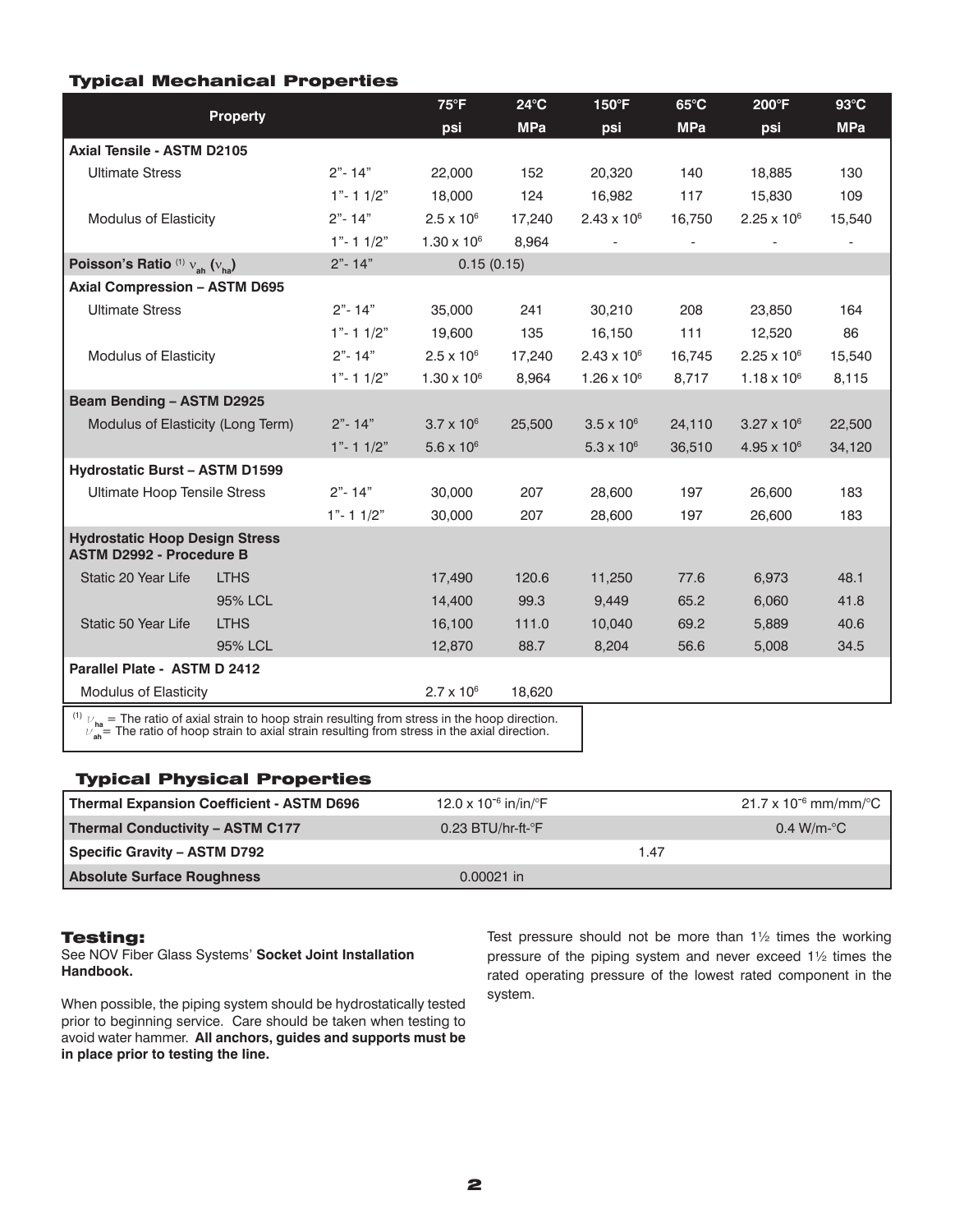## Typical Mechanical Properties

|                                                                                                                                                                                                                                       |                              |              | $75^{\circ}F$        | $24^{\circ}$ C | 150°F                | $65^{\circ}$ C | 200°F                | $93^{\circ}$ C |
|---------------------------------------------------------------------------------------------------------------------------------------------------------------------------------------------------------------------------------------|------------------------------|--------------|----------------------|----------------|----------------------|----------------|----------------------|----------------|
|                                                                                                                                                                                                                                       | <b>Property</b>              |              | psi                  | <b>MPa</b>     | psi                  | <b>MPa</b>     | psi                  | <b>MPa</b>     |
| Axial Tensile - ASTM D2105                                                                                                                                                                                                            |                              |              |                      |                |                      |                |                      |                |
| <b>Ultimate Stress</b>                                                                                                                                                                                                                |                              | $2" - 14"$   | 22,000               | 152            | 20,320               | 140            | 18,885               | 130            |
|                                                                                                                                                                                                                                       |                              | $1" - 11/2"$ | 18,000               | 124            | 16,982               | 117            | 15,830               | 109            |
| <b>Modulus of Elasticity</b>                                                                                                                                                                                                          |                              | $2" - 14"$   | $2.5 \times 10^{6}$  | 17,240         | $2.43 \times 10^{6}$ | 16,750         | $2.25 \times 10^{6}$ | 15,540         |
|                                                                                                                                                                                                                                       |                              | $1" - 11/2"$ | $1.30 \times 10^{6}$ | 8,964          |                      |                |                      |                |
| Poisson's Ratio (1) $V_{ab}$ $(V_{ba})$                                                                                                                                                                                               |                              | $2" - 14"$   | 0.15(0.15)           |                |                      |                |                      |                |
| <b>Axial Compression - ASTM D695</b>                                                                                                                                                                                                  |                              |              |                      |                |                      |                |                      |                |
| <b>Ultimate Stress</b>                                                                                                                                                                                                                |                              | $2" - 14"$   | 35,000               | 241            | 30,210               | 208            | 23,850               | 164            |
|                                                                                                                                                                                                                                       |                              | $1" - 11/2"$ | 19,600               | 135            | 16,150               | 111            | 12,520               | 86             |
| <b>Modulus of Elasticity</b>                                                                                                                                                                                                          |                              | $2" - 14"$   | $2.5 \times 10^{6}$  | 17,240         | $2.43 \times 10^{6}$ | 16,745         | $2.25 \times 10^{6}$ | 15,540         |
|                                                                                                                                                                                                                                       |                              | $1" - 11/2"$ | $1.30 \times 10^{6}$ | 8,964          | $1.26 \times 10^{6}$ | 8,717          | $1.18 \times 10^{6}$ | 8,115          |
| <b>Beam Bending - ASTM D2925</b>                                                                                                                                                                                                      |                              |              |                      |                |                      |                |                      |                |
| Modulus of Elasticity (Long Term)                                                                                                                                                                                                     |                              | $2" - 14"$   | $3.7 \times 10^{6}$  | 25,500         | $3.5 \times 10^{6}$  | 24,110         | $3.27 \times 10^{6}$ | 22,500         |
|                                                                                                                                                                                                                                       |                              | $1" - 11/2"$ | $5.6 \times 10^{6}$  |                | $5.3 \times 10^{6}$  | 36,510         | $4.95 \times 10^{6}$ | 34,120         |
| <b>Hydrostatic Burst - ASTM D1599</b>                                                                                                                                                                                                 |                              |              |                      |                |                      |                |                      |                |
| <b>Ultimate Hoop Tensile Stress</b>                                                                                                                                                                                                   |                              | $2" - 14"$   | 30,000               | 207            | 28,600               | 197            | 26,600               | 183            |
|                                                                                                                                                                                                                                       |                              | $1" - 11/2"$ | 30,000               | 207            | 28,600               | 197            | 26,600               | 183            |
| <b>Hydrostatic Hoop Design Stress</b><br><b>ASTM D2992 - Procedure B</b>                                                                                                                                                              |                              |              |                      |                |                      |                |                      |                |
| Static 20 Year Life                                                                                                                                                                                                                   | <b>LTHS</b>                  |              | 17,490               | 120.6          | 11,250               | 77.6           | 6,973                | 48.1           |
|                                                                                                                                                                                                                                       | 95% LCL                      |              | 14,400               | 99.3           | 9,449                | 65.2           | 6.060                | 41.8           |
| Static 50 Year Life                                                                                                                                                                                                                   | <b>LTHS</b>                  |              | 16,100               | 111.0          | 10,040               | 69.2           | 5,889                | 40.6           |
|                                                                                                                                                                                                                                       | 95% LCL                      |              | 12,870               | 88.7           | 8,204                | 56.6           | 5,008                | 34.5           |
|                                                                                                                                                                                                                                       | Parallel Plate - ASTM D 2412 |              |                      |                |                      |                |                      |                |
| <b>Modulus of Elasticity</b>                                                                                                                                                                                                          |                              |              | $2.7 \times 10^{6}$  | 18,620         |                      |                |                      |                |
| <sup>(1)</sup> $\nu_{\text{ha}}$ = The ratio of axial strain to hoop strain resulting from stress in the hoop direction.<br>$\nu_{\text{ha}}$ = The ratio of hoop strain to axial strain resulting from stress in the axial direction |                              |              |                      |                |                      |                |                      |                |

 $\nu_\mathsf{ah}^\mathsf{un}$  = The ratio of hoop strain to axial strain resulting from stress in the axial direction.

## Typical Physical Properties

| Thermal Expansion Coefficient - ASTM D696 | 12.0 x 10 <sup>-6</sup> in/in/ $\degree$ F |      | $21.7 \times 10^{-6}$ mm/mm/ $^{\circ}$ C |
|-------------------------------------------|--------------------------------------------|------|-------------------------------------------|
| Thermal Conductivity - ASTM C177          | $0.23$ BTU/hr-ft- $\degree$ F              |      | $0.4 \text{ W/m-}^{\circ}\text{C}$        |
| Specific Gravity – ASTM D792              |                                            | 1.47 |                                           |
| <b>Absolute Surface Roughness</b>         | $0.00021$ in                               |      |                                           |

## Testing:

See NOV Fiber Glass Systems' **Socket Joint Installation Handbook.**

When possible, the piping system should be hydrostatically tested prior to beginning service. Care should be taken when testing to avoid water hammer. **All anchors, guides and supports must be in place prior to testing the line.**

Test pressure should not be more than 1½ times the working pressure of the piping system and never exceed 1½ times the rated operating pressure of the lowest rated component in the system.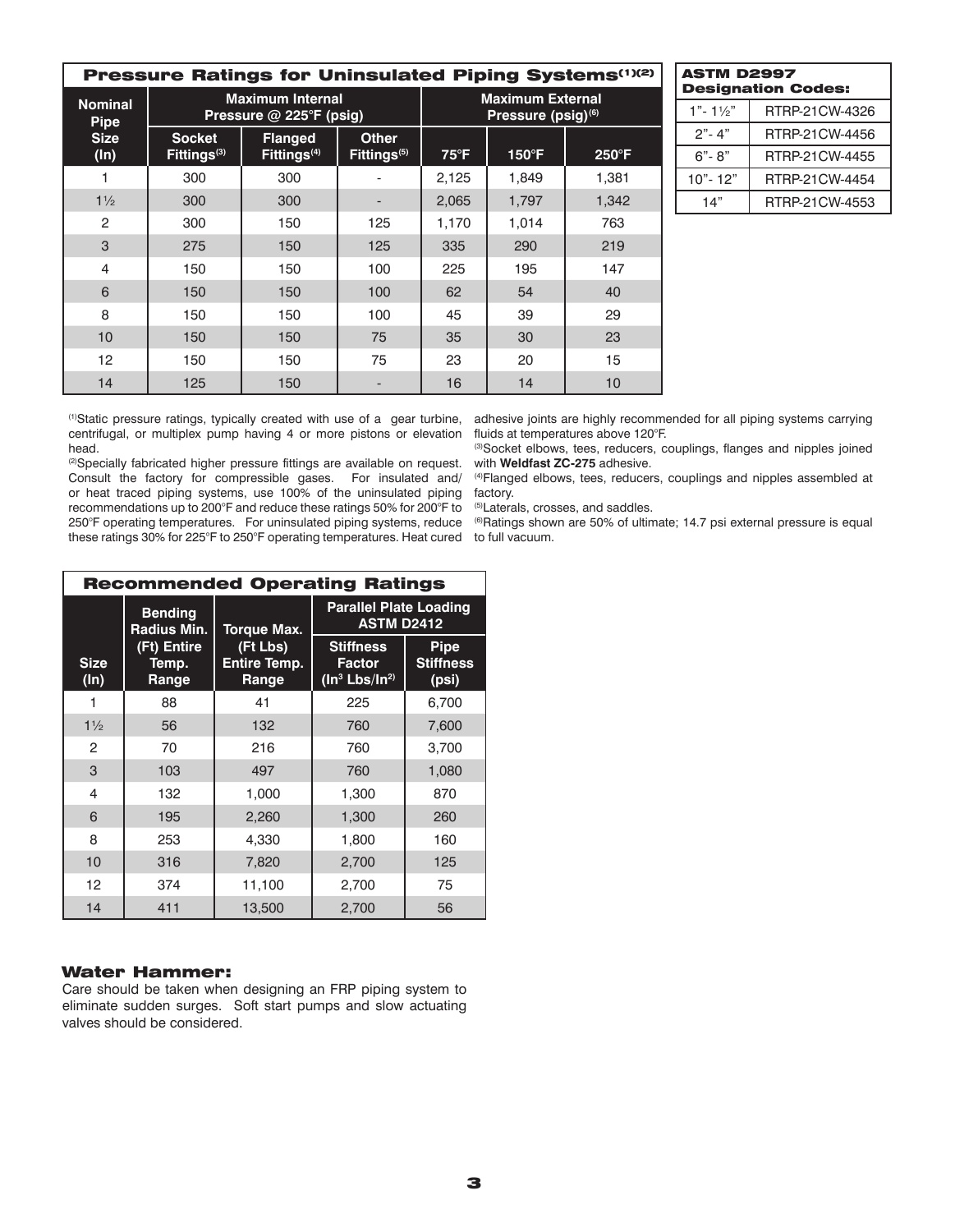| Pressure Ratings for Uninsulated Piping Systems(1)(2) |                                          |                                                    |                                         |                                                           |                 |                 |  |
|-------------------------------------------------------|------------------------------------------|----------------------------------------------------|-----------------------------------------|-----------------------------------------------------------|-----------------|-----------------|--|
| <b>Nominal</b><br><b>Pipe</b>                         |                                          | <b>Maximum Internal</b><br>Pressure @ 225°F (psig) |                                         | <b>Maximum External</b><br>Pressure (psig) <sup>(6)</sup> |                 |                 |  |
| <b>Size</b><br>$(\ln)$                                | <b>Socket</b><br>Fittings <sup>(3)</sup> | <b>Flanged</b><br>Fittings <sup>(4)</sup>          | <b>Other</b><br>Fittings <sup>(5)</sup> | $75^{\circ}F$                                             | $150^{\circ}$ F | $250^{\circ}$ F |  |
|                                                       | 300                                      | 300                                                |                                         | 2,125                                                     | 1,849           | 1,381           |  |
| $1\frac{1}{2}$                                        | 300                                      | 300                                                |                                         | 2,065                                                     | 1,797           | 1,342           |  |
| 2                                                     | 300                                      | 150                                                | 125                                     | 1.170                                                     | 1,014           | 763             |  |
| 3                                                     | 275                                      | 150                                                | 125                                     | 335                                                       | 290             | 219             |  |
| $\overline{4}$                                        | 150                                      | 150                                                | 100                                     | 225                                                       | 195             | 147             |  |
| 6                                                     | 150                                      | 150                                                | 100                                     | 62                                                        | 54              | 40              |  |
| 8                                                     | 150                                      | 150                                                | 100                                     | 45                                                        | 39              | 29              |  |
| 10                                                    | 150                                      | 150                                                | 75                                      | 35                                                        | 30              | 23              |  |
| 12                                                    | 150                                      | 150                                                | 75                                      | 23                                                        | 20              | 15              |  |
| 14                                                    | 125                                      | 150                                                |                                         | 16                                                        | 14              | 10              |  |

| <b>ASTM D2997</b><br><b>Designation Codes:</b> |                |  |  |  |
|------------------------------------------------|----------------|--|--|--|
| $1" - 1\frac{1}{2}"$                           | RTRP-21CW-4326 |  |  |  |
| $2" - 4"$                                      | RTRP-21CW-4456 |  |  |  |
| 6"- 8"                                         | RTRP-21CW-4455 |  |  |  |
| $10" - 12"$                                    | RTRP-21CW-4454 |  |  |  |
| 14"                                            | RTRP-21CW-4553 |  |  |  |

(1)Static pressure ratings, typically created with use of a gear turbine, centrifugal, or multiplex pump having 4 or more pistons or elevation head.

<sup>(2)</sup>Specially fabricated higher pressure fittings are available on request. Consult the factory for compressible gases. For insulated and/ or heat traced piping systems, use 100% of the uninsulated piping recommendations up to 200°F and reduce these ratings 50% for 200°F to 250°F operating temperatures. For uninsulated piping systems, reduce these ratings 30% for 225°F to 250°F operating temperatures. Heat cured to full vacuum.

adhesive joints are highly recommended for all piping systems carrying fluids at temperatures above 120°F.

(3)Socket elbows, tees, reducers, couplings, flanges and nipples joined with **Weldfast ZC-275** adhesive.

(4)Flanged elbows, tees, reducers, couplings and nipples assembled at factory.

(5)Laterals, crosses, and saddles.

(6)Ratings shown are 50% of ultimate; 14.7 psi external pressure is equal

| <b>Recommended Operating Ratings</b> |                               |                                          |                                                                            |                                          |  |  |
|--------------------------------------|-------------------------------|------------------------------------------|----------------------------------------------------------------------------|------------------------------------------|--|--|
|                                      | <b>Bending</b><br>Radius Min. | <b>Torque Max.</b>                       | <b>Parallel Plate Loading</b><br><b>ASTM D2412</b>                         |                                          |  |  |
| <b>Size</b><br>(ln)                  | (Ft) Entire<br>Temp.<br>Range | (Ft Lbs)<br><b>Entire Temp.</b><br>Range | <b>Stiffness</b><br><b>Factor</b><br>(In <sup>3</sup> Lbs/In <sup>2)</sup> | <b>Pipe</b><br><b>Stiffness</b><br>(psi) |  |  |
|                                      | 88                            | 41                                       | 225                                                                        | 6,700                                    |  |  |
| $1\frac{1}{2}$                       | 56                            | 132                                      | 760                                                                        | 7,600                                    |  |  |
| 2                                    | 70                            | 216                                      | 760                                                                        | 3,700                                    |  |  |
| 3                                    | 103                           | 497                                      | 760                                                                        | 1,080                                    |  |  |
| 4                                    | 132                           | 1,000                                    | 1,300                                                                      | 870                                      |  |  |
| 6                                    | 195                           | 2,260                                    | 1,300                                                                      | 260                                      |  |  |
| 8                                    | 253                           | 4,330                                    | 1,800                                                                      | 160                                      |  |  |
| 10                                   | 316                           | 7,820                                    | 2,700                                                                      | 125                                      |  |  |
| 12                                   | 374                           | 11,100                                   | 2,700                                                                      | 75                                       |  |  |
| 14                                   | 411                           | 13,500                                   | 2,700                                                                      | 56                                       |  |  |

## Water Hammer:

Care should be taken when designing an FRP piping system to eliminate sudden surges. Soft start pumps and slow actuating valves should be considered.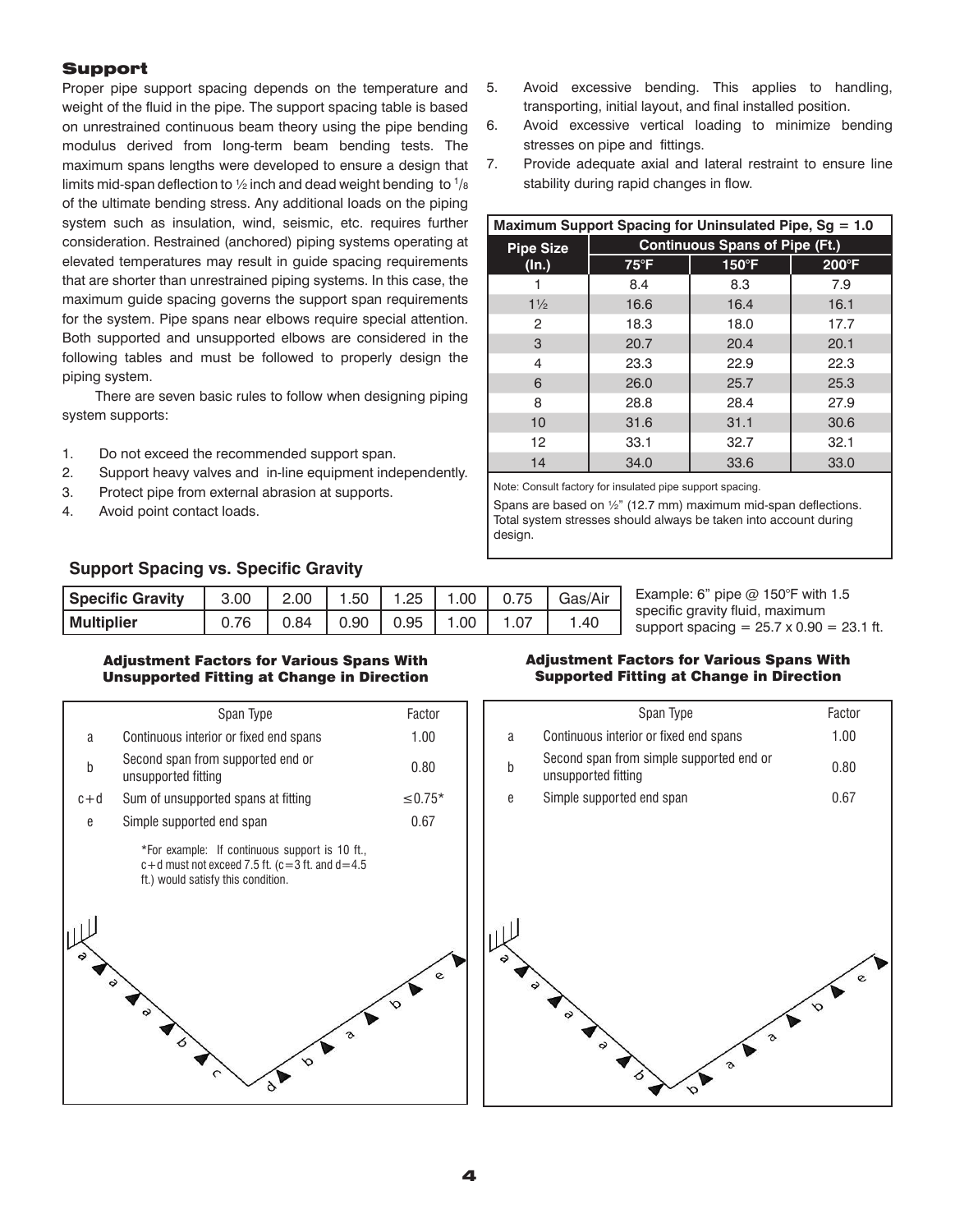## Support

Proper pipe support spacing depends on the temperature and weight of the fluid in the pipe. The support spacing table is based on unrestrained continuous beam theory using the pipe bending modulus derived from long-term beam bending tests. The maximum spans lengths were developed to ensure a design that limits mid-span deflection to  $\frac{1}{2}$  inch and dead weight bending to  $\frac{1}{8}$ of the ultimate bending stress. Any additional loads on the piping system such as insulation, wind, seismic, etc. requires further consideration. Restrained (anchored) piping systems operating at elevated temperatures may result in guide spacing requirements that are shorter than unrestrained piping systems. In this case, the maximum guide spacing governs the support span requirements for the system. Pipe spans near elbows require special attention. Both supported and unsupported elbows are considered in the following tables and must be followed to properly design the piping system.

 There are seven basic rules to follow when designing piping system supports:

- 1. Do not exceed the recommended support span.
- 2. Support heavy valves and in-line equipment independently.
- 3. Protect pipe from external abrasion at supports.
- 4. Avoid point contact loads.

## **Support Spacing vs. Specific Gravity**

| <b>Specific Gravity</b> | $.3.00$ $^{\circ}$ |                             |  |      | 2.00   1.50   1.25   1.00   0.75   Gas/Air |
|-------------------------|--------------------|-----------------------------|--|------|--------------------------------------------|
| <b>Multiplier</b>       |                    | $0.84$   0.90   0.95   1.00 |  | 1.07 | .40                                        |

## Adjustment Factors for Various Spans With Unsupported Fitting at Change in Direction



- 5. Avoid excessive bending. This applies to handling, transporting, initial layout, and final installed position.
- 6. Avoid excessive vertical loading to minimize bending stresses on pipe and fittings.
- 7. Provide adequate axial and lateral restraint to ensure line stability during rapid changes in flow.

| Maximum Support Spacing for Uninsulated Pipe, Sg = 1.0 |                                       |       |                |  |  |  |
|--------------------------------------------------------|---------------------------------------|-------|----------------|--|--|--|
| <b>Pipe Size</b>                                       | <b>Continuous Spans of Pipe (Ft.)</b> |       |                |  |  |  |
| (ln.)                                                  | $75^{\circ}$ F                        | 150°F | $200^{\circ}F$ |  |  |  |
|                                                        | 8.4                                   | 8.3   | 7.9            |  |  |  |
| $1\frac{1}{2}$                                         | 16.6                                  | 16.4  | 16.1           |  |  |  |
| 2                                                      | 18.3                                  | 18.0  | 17.7           |  |  |  |
| 3                                                      | 20.7                                  | 20.4  | 20.1           |  |  |  |
| 4                                                      | 23.3                                  | 22.9  | 22.3           |  |  |  |
| 6                                                      | 26.0                                  | 25.7  | 25.3           |  |  |  |
| 8                                                      | 28.8                                  | 28.4  | 27.9           |  |  |  |
| 10                                                     | 31.6                                  | 31.1  | 30.6           |  |  |  |
| 12                                                     | 33.1                                  | 32.7  | 32.1           |  |  |  |
| 14                                                     | 34.0                                  | 33.6  | 33.0           |  |  |  |

Note: Consult factory for insulated pipe support spacing.

Spans are based on ½" (12.7 mm) maximum mid-span deflections. Total system stresses should always be taken into account during design.

> Example: 6" pipe @ 150°F with 1.5 specific gravity fluid, maximum support spacing =  $25.7 \times 0.90 = 23.1$  ft.

### Adjustment Factors for Various Spans With Supported Fitting at Change in Direction

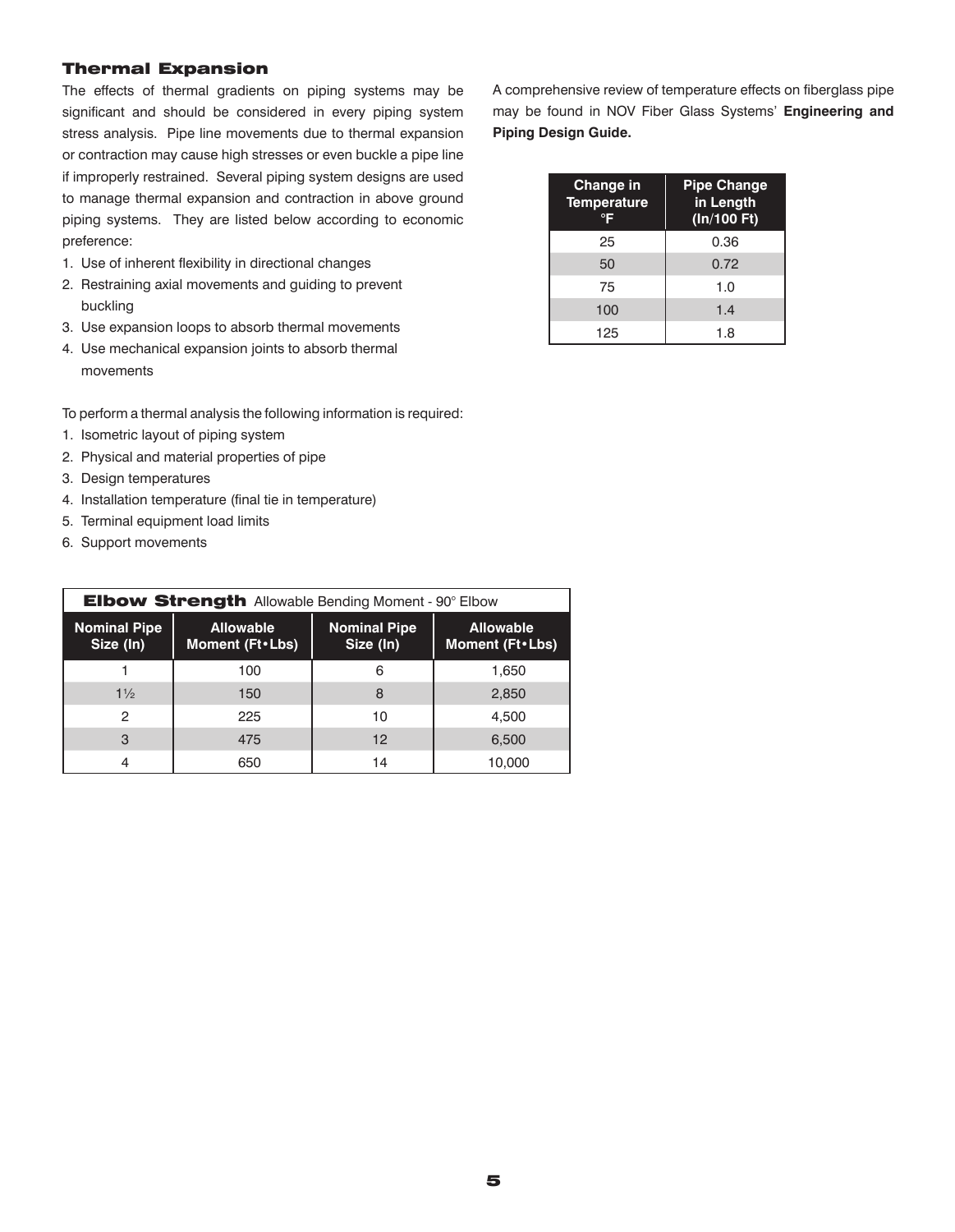## Thermal Expansion

The effects of thermal gradients on piping systems may be significant and should be considered in every piping system stress analysis. Pipe line movements due to thermal expansion or contraction may cause high stresses or even buckle a pipe line if improperly restrained. Several piping system designs are used to manage thermal expansion and contraction in above ground piping systems. They are listed below according to economic preference:

- 1. Use of inherent flexibility in directional changes
- 2. Restraining axial movements and guiding to prevent buckling
- 3. Use expansion loops to absorb thermal movements
- 4. Use mechanical expansion joints to absorb thermal movements

To perform a thermal analysis the following information is required:

- 1. Isometric layout of piping system
- 2. Physical and material properties of pipe
- 3. Design temperatures
- 4. Installation temperature (final tie in temperature)
- 5. Terminal equipment load limits
- 6. Support movements

| <b>Elbow Strength Allowable Bending Moment - 90° Elbow</b> |                                       |                                  |                                       |  |  |  |
|------------------------------------------------------------|---------------------------------------|----------------------------------|---------------------------------------|--|--|--|
| <b>Nominal Pipe</b><br>Size (In)                           | <b>Allowable</b><br>Moment (Ft . Lbs) | <b>Nominal Pipe</b><br>Size (In) | <b>Allowable</b><br>Moment (Ft • Lbs) |  |  |  |
|                                                            | 100                                   | 6                                | 1.650                                 |  |  |  |
| $1\frac{1}{2}$                                             | 150                                   | 8                                | 2,850                                 |  |  |  |
| 2                                                          | 225                                   | 10                               | 4.500                                 |  |  |  |
| 3                                                          | 475                                   | 12                               | 6,500                                 |  |  |  |
| 4                                                          | 650                                   | 14                               | 10,000                                |  |  |  |

A comprehensive review of temperature effects on fiberglass pipe may be found in NOV Fiber Glass Systems' **Engineering and Piping Design Guide.**

| <b>Change in</b><br><b>Temperature</b><br>℃F | <b>Pipe Change</b><br>in Length<br>(In/100 Ft) |
|----------------------------------------------|------------------------------------------------|
| 25                                           | 0.36                                           |
| 50                                           | 0.72                                           |
| 75                                           | 1.0                                            |
| 100                                          | 1.4                                            |
| 125                                          | 1.8                                            |